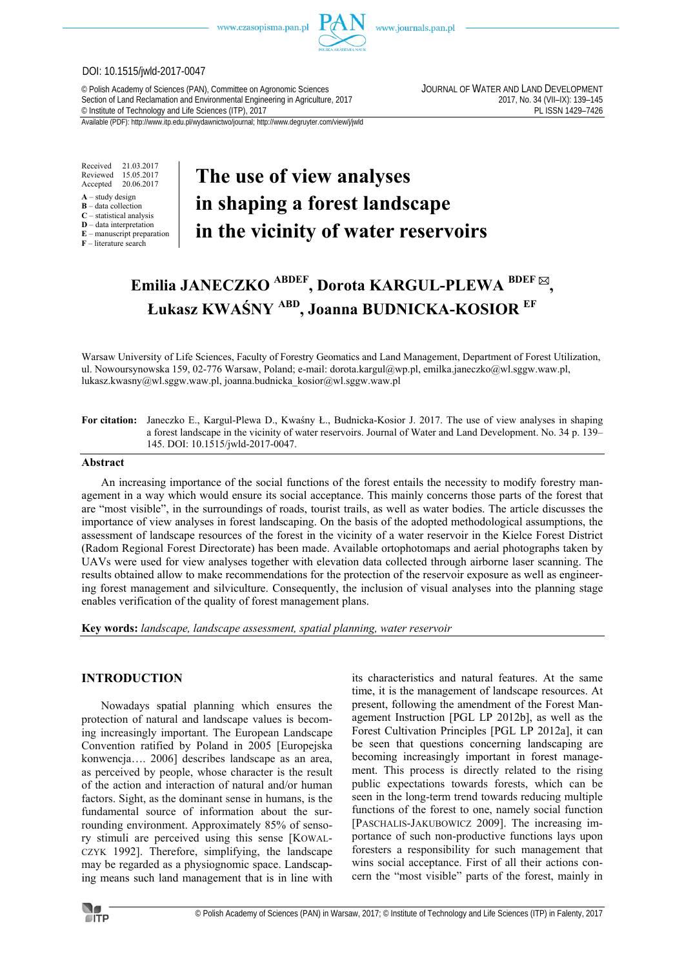

www.journals.pan.pl

#### DOI: 10.1515/jwld-2017-0047

© Polish Academy of Sciences (PAN), Committee on Agronomic Sciences JOURNAL OF WATER AND LAND DEVELOPMENT Section of Land Reclamation and Environmental Engineering in Agriculture, 2017<br>
© Institute of Technology and Life Sciences (ITP), 2017<br>
PL ISSN 1429-7426 <sup>©</sup> Institute of Technology and Life Sciences (ITP), 2017

Available (PDF): http://www.itp.edu.pl/wydawnictwo/journal; http://www.degruyter.com/view/j/jwld

Received 21.03.2017 Reviewed 15.05.2017<br>Accepted 20.06.2017 20.06.2017

- **A** study design
- **B** data collection **C** – statistical analysis
- **D** data interpretation
- **E** manuscript preparation

**F** – literature search

# **The use of view analyses in shaping a forest landscape in the vicinity of water reservoirs**

# **Emilia JANECZKO ABDEF, Dorota KARGUL-PLEWA BDEF , Łukasz KWAŚNY ABD, Joanna BUDNICKA-KOSIOR EF**

Warsaw University of Life Sciences, Faculty of Forestry Geomatics and Land Management, Department of Forest Utilization, ul. Nowoursynowska 159, 02-776 Warsaw, Poland; e-mail: dorota.kargul@wp.pl, emilka.janeczko@wl.sggw.waw.pl, lukasz.kwasny@wl.sggw.waw.pl, joanna.budnicka\_kosior@wl.sggw.waw.pl

#### **For citation:** Janeczko E., Kargul-Plewa D., Kwaśny Ł., Budnicka-Kosior J. 2017. The use of view analyses in shaping a forest landscape in the vicinity of water reservoirs. Journal of Water and Land Development. No. 34 p. 139– 145. DOI: 10.1515/jwld-2017-0047.

#### **Abstract**

An increasing importance of the social functions of the forest entails the necessity to modify forestry management in a way which would ensure its social acceptance. This mainly concerns those parts of the forest that are "most visible", in the surroundings of roads, tourist trails, as well as water bodies. The article discusses the importance of view analyses in forest landscaping. On the basis of the adopted methodological assumptions, the assessment of landscape resources of the forest in the vicinity of a water reservoir in the Kielce Forest District (Radom Regional Forest Directorate) has been made. Available ortophotomaps and aerial photographs taken by UAVs were used for view analyses together with elevation data collected through airborne laser scanning. The results obtained allow to make recommendations for the protection of the reservoir exposure as well as engineering forest management and silviculture. Consequently, the inclusion of visual analyses into the planning stage enables verification of the quality of forest management plans.

**Key words:** *landscape, landscape assessment, spatial planning, water reservoir* 

## **INTRODUCTION**

Nowadays spatial planning which ensures the protection of natural and landscape values is becoming increasingly important. The European Landscape Convention ratified by Poland in 2005 [Europejska konwencja…. 2006] describes landscape as an area, as perceived by people, whose character is the result of the action and interaction of natural and/or human factors. Sight, as the dominant sense in humans, is the fundamental source of information about the surrounding environment. Approximately 85% of sensory stimuli are perceived using this sense [KOWAL-CZYK 1992]. Therefore, simplifying, the landscape may be regarded as a physiognomic space. Landscaping means such land management that is in line with

its characteristics and natural features. At the same time, it is the management of landscape resources. At present, following the amendment of the Forest Management Instruction [PGL LP 2012b], as well as the Forest Cultivation Principles [PGL LP 2012a], it can be seen that questions concerning landscaping are becoming increasingly important in forest management. This process is directly related to the rising public expectations towards forests, which can be seen in the long-term trend towards reducing multiple functions of the forest to one, namely social function [PASCHALIS-JAKUBOWICZ 2009]. The increasing importance of such non-productive functions lays upon foresters a responsibility for such management that wins social acceptance. First of all their actions concern the "most visible" parts of the forest, mainly in

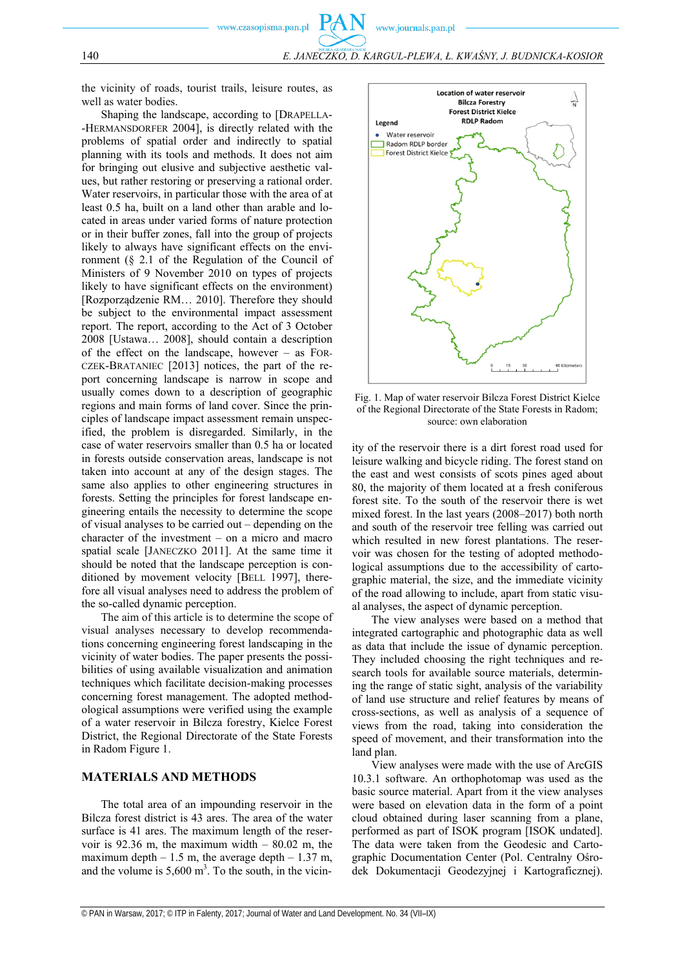

the vicinity of roads, tourist trails, leisure routes, as well as water bodies.

Shaping the landscape, according to [DRAPELLA- -HERMANSDORFER 2004], is directly related with the problems of spatial order and indirectly to spatial planning with its tools and methods. It does not aim for bringing out elusive and subjective aesthetic values, but rather restoring or preserving a rational order. Water reservoirs, in particular those with the area of at least 0.5 ha, built on a land other than arable and located in areas under varied forms of nature protection or in their buffer zones, fall into the group of projects likely to always have significant effects on the environment (§ 2.1 of the Regulation of the Council of Ministers of 9 November 2010 on types of projects likely to have significant effects on the environment) [Rozporządzenie RM… 2010]. Therefore they should be subject to the environmental impact assessment report. The report, according to the Act of 3 October 2008 [Ustawa… 2008], should contain a description of the effect on the landscape, however – as FOR-CZEK-BRATANIEC [2013] notices, the part of the report concerning landscape is narrow in scope and usually comes down to a description of geographic regions and main forms of land cover. Since the principles of landscape impact assessment remain unspecified, the problem is disregarded. Similarly, in the case of water reservoirs smaller than 0.5 ha or located in forests outside conservation areas, landscape is not taken into account at any of the design stages. The same also applies to other engineering structures in forests. Setting the principles for forest landscape engineering entails the necessity to determine the scope of visual analyses to be carried out – depending on the character of the investment – on a micro and macro spatial scale [JANECZKO 2011]. At the same time it should be noted that the landscape perception is conditioned by movement velocity [BELL 1997], therefore all visual analyses need to address the problem of the so-called dynamic perception.

The aim of this article is to determine the scope of visual analyses necessary to develop recommendations concerning engineering forest landscaping in the vicinity of water bodies. The paper presents the possibilities of using available visualization and animation techniques which facilitate decision-making processes concerning forest management. The adopted methodological assumptions were verified using the example of a water reservoir in Bilcza forestry, Kielce Forest District, the Regional Directorate of the State Forests in Radom Figure 1.

## **MATERIALS AND METHODS**

The total area of an impounding reservoir in the Bilcza forest district is 43 ares. The area of the water surface is 41 ares. The maximum length of the reservoir is 92.36 m, the maximum width  $-$  80.02 m, the maximum depth  $-1.5$  m, the average depth  $-1.37$  m, and the volume is  $5{,}600 \text{ m}^3$ . To the south, in the vicin-



Fig. 1. Map of water reservoir Bilcza Forest District Kielce of the Regional Directorate of the State Forests in Radom; source: own elaboration

ity of the reservoir there is a dirt forest road used for leisure walking and bicycle riding. The forest stand on the east and west consists of scots pines aged about 80, the majority of them located at a fresh coniferous forest site. To the south of the reservoir there is wet mixed forest. In the last years (2008–2017) both north and south of the reservoir tree felling was carried out which resulted in new forest plantations. The reservoir was chosen for the testing of adopted methodological assumptions due to the accessibility of cartographic material, the size, and the immediate vicinity of the road allowing to include, apart from static visual analyses, the aspect of dynamic perception.

The view analyses were based on a method that integrated cartographic and photographic data as well as data that include the issue of dynamic perception. They included choosing the right techniques and research tools for available source materials, determining the range of static sight, analysis of the variability of land use structure and relief features by means of cross-sections, as well as analysis of a sequence of views from the road, taking into consideration the speed of movement, and their transformation into the land plan.

View analyses were made with the use of ArcGIS 10.3.1 software. An orthophotomap was used as the basic source material. Apart from it the view analyses were based on elevation data in the form of a point cloud obtained during laser scanning from a plane, performed as part of ISOK program [ISOK undated]. The data were taken from the Geodesic and Cartographic Documentation Center (Pol. Centralny Ośrodek Dokumentacji Geodezyjnej i Kartograficznej).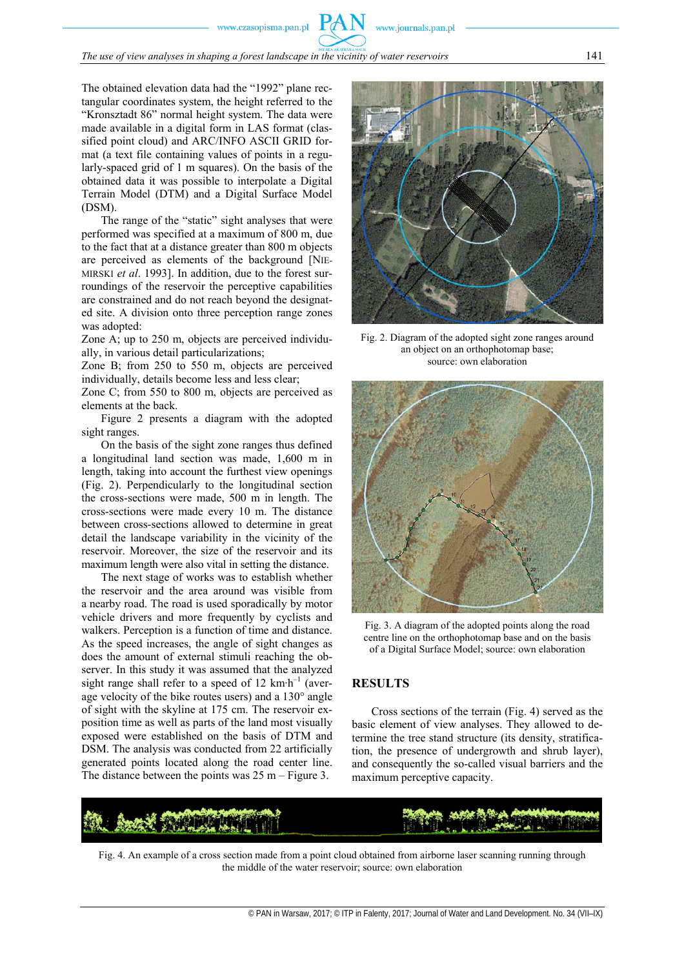www.journals.pan.pl

The obtained elevation data had the "1992" plane rectangular coordinates system, the height referred to the "Kronsztadt 86" normal height system. The data were made available in a digital form in LAS format (classified point cloud) and ARC/INFO ASCII GRID format (a text file containing values of points in a regularly-spaced grid of 1 m squares). On the basis of the obtained data it was possible to interpolate a Digital Terrain Model (DTM) and a Digital Surface Model (DSM).

The range of the "static" sight analyses that were performed was specified at a maximum of 800 m, due to the fact that at a distance greater than 800 m objects are perceived as elements of the background [NIE-MIRSKI *et al*. 1993]. In addition, due to the forest surroundings of the reservoir the perceptive capabilities are constrained and do not reach beyond the designated site. A division onto three perception range zones was adopted:

Zone A; up to 250 m, objects are perceived individually, in various detail particularizations;

Zone B; from 250 to 550 m, objects are perceived individually, details become less and less clear;

Zone C; from 550 to 800 m, objects are perceived as elements at the back.

Figure 2 presents a diagram with the adopted sight ranges.

On the basis of the sight zone ranges thus defined a longitudinal land section was made, 1,600 m in length, taking into account the furthest view openings (Fig. 2). Perpendicularly to the longitudinal section the cross-sections were made, 500 m in length. The cross-sections were made every 10 m. The distance between cross-sections allowed to determine in great detail the landscape variability in the vicinity of the reservoir. Moreover, the size of the reservoir and its maximum length were also vital in setting the distance.

The next stage of works was to establish whether the reservoir and the area around was visible from a nearby road. The road is used sporadically by motor vehicle drivers and more frequently by cyclists and walkers. Perception is a function of time and distance. As the speed increases, the angle of sight changes as does the amount of external stimuli reaching the observer. In this study it was assumed that the analyzed sight range shall refer to a speed of 12 km⋅h<sup>-1</sup> (average velocity of the bike routes users) and a 130° angle of sight with the skyline at 175 cm. The reservoir exposition time as well as parts of the land most visually exposed were established on the basis of DTM and DSM. The analysis was conducted from 22 artificially generated points located along the road center line. The distance between the points was  $25 \text{ m} - \text{Figure 3}$ .



Fig. 2. Diagram of the adopted sight zone ranges around an object on an orthophotomap base; source: own elaboration



Fig. 3. A diagram of the adopted points along the road centre line on the orthophotomap base and on the basis of a Digital Surface Model; source: own elaboration

# **RESULTS**

Cross sections of the terrain (Fig. 4) served as the basic element of view analyses. They allowed to determine the tree stand structure (its density, stratification, the presence of undergrowth and shrub layer), and consequently the so-called visual barriers and the maximum perceptive capacity.

Fig. 4. An example of a cross section made from a point cloud obtained from airborne laser scanning running through the middle of the water reservoir; source: own elaboration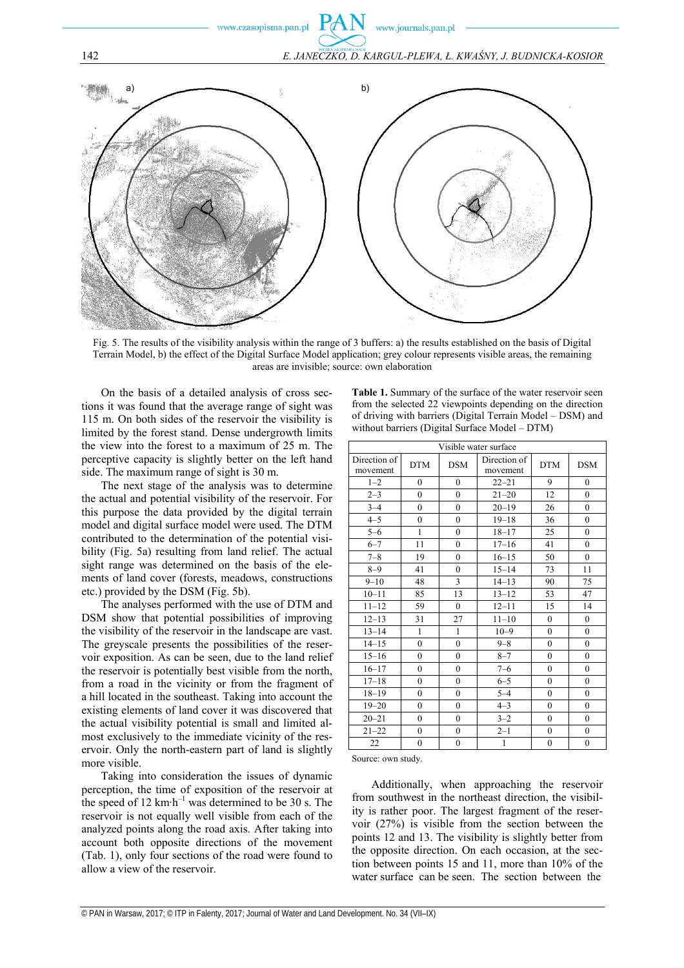

Fig. 5. The results of the visibility analysis within the range of 3 buffers: a) the results established on the basis of Digital Terrain Model, b) the effect of the Digital Surface Model application; grey colour represents visible areas, the remaining areas are invisible; source: own elaboration

On the basis of a detailed analysis of cross sections it was found that the average range of sight was 115 m. On both sides of the reservoir the visibility is limited by the forest stand. Dense undergrowth limits the view into the forest to a maximum of 25 m. The perceptive capacity is slightly better on the left hand side. The maximum range of sight is 30 m.

The next stage of the analysis was to determine the actual and potential visibility of the reservoir. For this purpose the data provided by the digital terrain model and digital surface model were used. The DTM contributed to the determination of the potential visibility (Fig. 5a) resulting from land relief. The actual sight range was determined on the basis of the elements of land cover (forests, meadows, constructions etc.) provided by the DSM (Fig. 5b).

The analyses performed with the use of DTM and DSM show that potential possibilities of improving the visibility of the reservoir in the landscape are vast. The greyscale presents the possibilities of the reservoir exposition. As can be seen, due to the land relief the reservoir is potentially best visible from the north, from a road in the vicinity or from the fragment of a hill located in the southeast. Taking into account the existing elements of land cover it was discovered that the actual visibility potential is small and limited almost exclusively to the immediate vicinity of the reservoir. Only the north-eastern part of land is slightly more visible.

Taking into consideration the issues of dynamic perception, the time of exposition of the reservoir at the speed of 12 km⋅h<sup>-1</sup> was determined to be 30 s. The reservoir is not equally well visible from each of the analyzed points along the road axis. After taking into account both opposite directions of the movement (Tab. 1), only four sections of the road were found to allow a view of the reservoir.

**Table 1.** Summary of the surface of the water reservoir seen from the selected 22 viewpoints depending on the direction of driving with barriers (Digital Terrain Model – DSM) and without barriers (Digital Surface Model – DTM)

| Visible water surface    |                  |                  |                          |                  |                  |
|--------------------------|------------------|------------------|--------------------------|------------------|------------------|
| Direction of<br>movement | <b>DTM</b>       | <b>DSM</b>       | Direction of<br>movement | <b>DTM</b>       | <b>DSM</b>       |
| $1 - 2$                  | $\theta$         | $\theta$         | $22 - 21$                | 9                | $\theta$         |
| $2 - 3$                  | $\theta$         | $\theta$         | $21 - 20$                | 12               | $\mathbf{0}$     |
| $3 - 4$                  | $\theta$         | $\theta$         | $20 - 19$                | 26               | $\mathbf{0}$     |
| $4 - 5$                  | $\mathbf{0}$     | $\mathbf{0}$     | $19 - 18$                | 36               | $\mathbf{0}$     |
| $5 - 6$                  | $\mathbf{1}$     | $\theta$         | $18 - 17$                | 25               | $\mathbf{0}$     |
| $6 - 7$                  | 11               | $\overline{0}$   | $17 - 16$                | 41               | $\mathbf{0}$     |
| $7 - 8$                  | 19               | $\theta$         | $16 - 15$                | 50               | $\mathbf{0}$     |
| $8 - 9$                  | 41               | $\mathbf{0}$     | $15 - 14$                | 73               | 11               |
| $9 - 10$                 | 48               | 3                | $14 - 13$                | 90               | 75               |
| $10 - 11$                | 85               | 13               | $13 - 12$                | 53               | 47               |
| $11 - 12$                | 59               | $\mathbf{0}$     | $12 - 11$                | 15               | 14               |
| $12 - 13$                | 31               | 27               | $11 - 10$                | $\boldsymbol{0}$ | $\boldsymbol{0}$ |
| $13 - 14$                | $\mathbf{1}$     | $\mathbf{1}$     | $10 - 9$                 | $\mathbf{0}$     | $\boldsymbol{0}$ |
| $14 - 15$                | $\boldsymbol{0}$ | $\boldsymbol{0}$ | $9 - 8$                  | $\boldsymbol{0}$ | $\boldsymbol{0}$ |
| $15 - 16$                | $\theta$         | $\theta$         | $8 - 7$                  | $\theta$         | $\mathbf{0}$     |
| $16 - 17$                | $\boldsymbol{0}$ | $\boldsymbol{0}$ | $7 - 6$                  | $\theta$         | $\mathbf{0}$     |
| $17 - 18$                | $\theta$         | $\theta$         | $6 - 5$                  | $\theta$         | $\mathbf{0}$     |
| $18 - 19$                | $\boldsymbol{0}$ | $\boldsymbol{0}$ | $5 - 4$                  | $\theta$         | $\mathbf{0}$     |
| $19 - 20$                | $\mathbf{0}$     | $\mathbf{0}$     | $4 - 3$                  | $\theta$         | $\mathbf{0}$     |
| $20 - 21$                | $\theta$         | $\mathbf{0}$     | $3 - 2$                  | $\overline{0}$   | $\mathbf{0}$     |
| $21 - 22$                | $\mathbf{0}$     | $\mathbf{0}$     | $2 - 1$                  | $\mathbf{0}$     | $\mathbf{0}$     |
| 22                       | $\mathbf{0}$     | $\overline{0}$   | 1                        | $\mathbf{0}$     | $\mathbf{0}$     |

Source: own study.

Additionally, when approaching the reservoir from southwest in the northeast direction, the visibility is rather poor. The largest fragment of the reservoir (27%) is visible from the section between the points 12 and 13. The visibility is slightly better from the opposite direction. On each occasion, at the section between points 15 and 11, more than 10% of the water surface can be seen. The section between the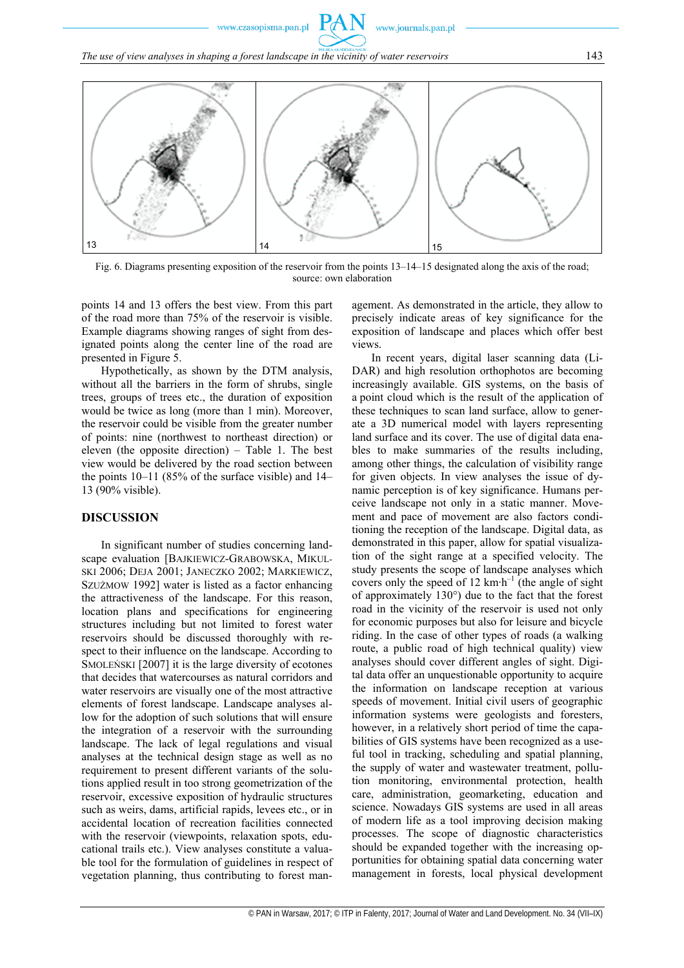www.journals.pan.pl

*The use of view analyses in shaping a forest landscape in the vicinity of water reservoirs* 143



Fig. 6. Diagrams presenting exposition of the reservoir from the points 13–14–15 designated along the axis of the road; source: own elaboration

points 14 and 13 offers the best view. From this part of the road more than 75% of the reservoir is visible. Example diagrams showing ranges of sight from designated points along the center line of the road are presented in Figure 5.

Hypothetically, as shown by the DTM analysis, without all the barriers in the form of shrubs, single trees, groups of trees etc., the duration of exposition would be twice as long (more than 1 min). Moreover, the reservoir could be visible from the greater number of points: nine (northwest to northeast direction) or eleven (the opposite direction) – Table 1. The best view would be delivered by the road section between the points 10–11 (85% of the surface visible) and 14– 13 (90% visible).

## **DISCUSSION**

In significant number of studies concerning landscape evaluation [BAJKIEWICZ-GRABOWSKA, MIKUL-SKI 2006; DEJA 2001; JANECZKO 2002; MARKIEWICZ, SZUŻMOW 1992] water is listed as a factor enhancing the attractiveness of the landscape. For this reason, location plans and specifications for engineering structures including but not limited to forest water reservoirs should be discussed thoroughly with respect to their influence on the landscape. According to SMOLEŃSKI [2007] it is the large diversity of ecotones that decides that watercourses as natural corridors and water reservoirs are visually one of the most attractive elements of forest landscape. Landscape analyses allow for the adoption of such solutions that will ensure the integration of a reservoir with the surrounding landscape. The lack of legal regulations and visual analyses at the technical design stage as well as no requirement to present different variants of the solutions applied result in too strong geometrization of the reservoir, excessive exposition of hydraulic structures such as weirs, dams, artificial rapids, levees etc., or in accidental location of recreation facilities connected with the reservoir (viewpoints, relaxation spots, educational trails etc.). View analyses constitute a valuable tool for the formulation of guidelines in respect of vegetation planning, thus contributing to forest management. As demonstrated in the article, they allow to precisely indicate areas of key significance for the exposition of landscape and places which offer best views.

In recent years, digital laser scanning data (Li-DAR) and high resolution orthophotos are becoming increasingly available. GIS systems, on the basis of a point cloud which is the result of the application of these techniques to scan land surface, allow to generate a 3D numerical model with layers representing land surface and its cover. The use of digital data enables to make summaries of the results including, among other things, the calculation of visibility range for given objects. In view analyses the issue of dynamic perception is of key significance. Humans perceive landscape not only in a static manner. Movement and pace of movement are also factors conditioning the reception of the landscape. Digital data, as demonstrated in this paper, allow for spatial visualization of the sight range at a specified velocity. The study presents the scope of landscape analyses which covers only the speed of 12 km∙h–1 (the angle of sight of approximately 130°) due to the fact that the forest road in the vicinity of the reservoir is used not only for economic purposes but also for leisure and bicycle riding. In the case of other types of roads (a walking route, a public road of high technical quality) view analyses should cover different angles of sight. Digital data offer an unquestionable opportunity to acquire the information on landscape reception at various speeds of movement. Initial civil users of geographic information systems were geologists and foresters, however, in a relatively short period of time the capabilities of GIS systems have been recognized as a useful tool in tracking, scheduling and spatial planning, the supply of water and wastewater treatment, pollution monitoring, environmental protection, health care, administration, geomarketing, education and science. Nowadays GIS systems are used in all areas of modern life as a tool improving decision making processes. The scope of diagnostic characteristics should be expanded together with the increasing opportunities for obtaining spatial data concerning water management in forests, local physical development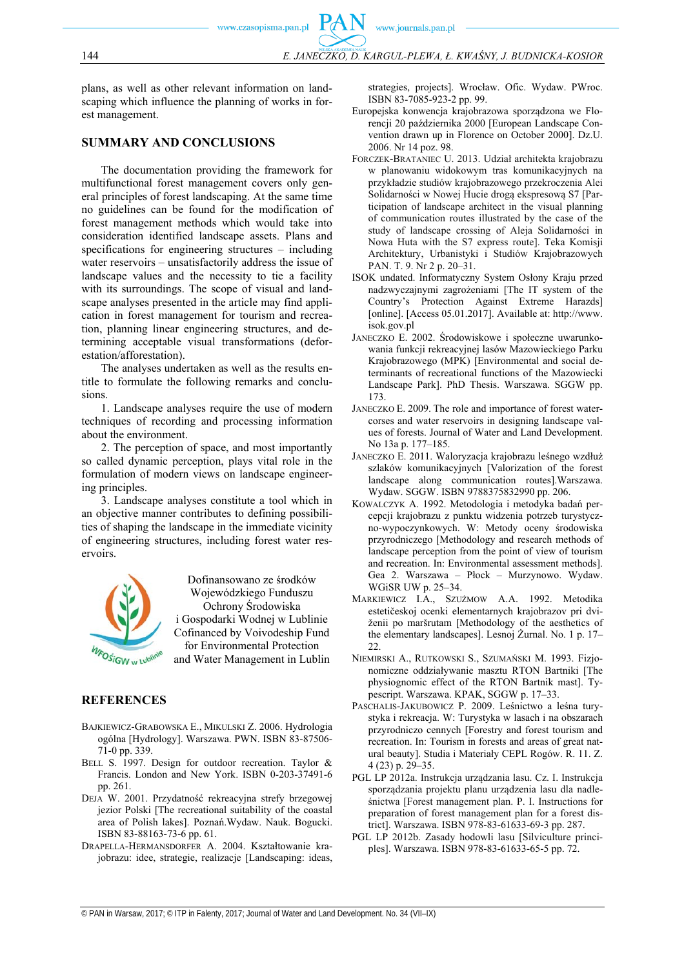plans, as well as other relevant information on landscaping which influence the planning of works in forest management.

# **SUMMARY AND CONCLUSIONS**

The documentation providing the framework for multifunctional forest management covers only general principles of forest landscaping. At the same time no guidelines can be found for the modification of forest management methods which would take into consideration identified landscape assets. Plans and specifications for engineering structures – including water reservoirs – unsatisfactorily address the issue of landscape values and the necessity to tie a facility with its surroundings. The scope of visual and landscape analyses presented in the article may find application in forest management for tourism and recreation, planning linear engineering structures, and determining acceptable visual transformations (deforestation/afforestation).

The analyses undertaken as well as the results entitle to formulate the following remarks and conclusions.

1. Landscape analyses require the use of modern techniques of recording and processing information about the environment.

2. The perception of space, and most importantly so called dynamic perception, plays vital role in the formulation of modern views on landscape engineering principles.

3. Landscape analyses constitute a tool which in an objective manner contributes to defining possibilities of shaping the landscape in the immediate vicinity of engineering structures, including forest water reservoirs.

![](_page_5_Picture_10.jpeg)

Dofinansowano ze środków Wojewódzkiego Funduszu Ochrony Środowiska i Gospodarki Wodnej w Lublinie Cofinanced by Voivodeship Fund for Environmental Protection and Water Management in Lublin

# **REFERENCES**

- BAJKIEWICZ-GRABOWSKA E., MIKULSKI Z. 2006. Hydrologia ogólna [Hydrology]. Warszawa. PWN. ISBN 83-87506- 71-0 pp. 339.
- BELL S. 1997. Design for outdoor recreation. Taylor & Francis. London and New York. ISBN 0-203-37491-6 pp. 261.
- DEJA W. 2001. Przydatność rekreacyjna strefy brzegowej jezior Polski [The recreational suitability of the coastal area of Polish lakes]. Poznań.Wydaw. Nauk. Bogucki. ISBN 83-88163-73-6 pp. 61.
- DRAPELLA-HERMANSDORFER A. 2004. Kształtowanie krajobrazu: idee, strategie, realizacje [Landscaping: ideas,

strategies, projects]. Wrocław. Ofic. Wydaw. PWroc. ISBN 83-7085-923-2 pp. 99.

- Europejska konwencja krajobrazowa sporządzona we Florencji 20 października 2000 [European Landscape Convention drawn up in Florence on October 2000]. Dz.U. 2006. Nr 14 poz. 98.
- FORCZEK-BRATANIEC U. 2013. Udział architekta krajobrazu w planowaniu widokowym tras komunikacyjnych na przykładzie studiów krajobrazowego przekroczenia Alei Solidarności w Nowej Hucie drogą ekspresową S7 [Participation of landscape architect in the visual planning of communication routes illustrated by the case of the study of landscape crossing of Aleja Solidarności in Nowa Huta with the S7 express route]. Teka Komisji Architektury, Urbanistyki i Studiów Krajobrazowych PAN. T. 9. Nr 2 p. 20–31.
- ISOK undated. Informatyczny System Osłony Kraju przed nadzwyczajnymi zagrożeniami [The IT system of the Country's Protection Against Extreme Harazds] [online]. [Access 05.01.2017]. Available at: http://www. isok.gov.pl
- JANECZKO E. 2002. Środowiskowe i społeczne uwarunkowania funkcji rekreacyjnej lasów Mazowieckiego Parku Krajobrazowego (MPK) [Environmental and social determinants of recreational functions of the Mazowiecki Landscape Park]. PhD Thesis. Warszawa. SGGW pp. 173.
- JANECZKO E. 2009. The role and importance of forest watercorses and water reservoirs in designing landscape values of forests. Journal of Water and Land Development. No 13a p. 177–185.
- JANECZKO E. 2011. Waloryzacja krajobrazu leśnego wzdłuż szlaków komunikacyjnych [Valorization of the forest landscape along communication routes].Warszawa. Wydaw. SGGW. ISBN 9788375832990 pp. 206.
- KOWALCZYK A. 1992. Metodologia i metodyka badań percepcji krajobrazu z punktu widzenia potrzeb turystyczno-wypoczynkowych. W: Metody oceny środowiska przyrodniczego [Methodology and research methods of landscape perception from the point of view of tourism and recreation. In: Environmental assessment methods]. Gea 2. Warszawa – Płock – Murzynowo. Wydaw. WGiSR UW p. 25–34.
- MARKIEWICZ I.A., SZUŻMOW A.A. 1992. Metodika estetičeskoj ocenki elementarnych krajobrazov pri dviženii po maršrutam [Methodology of the aesthetics of the elementary landscapes]. Lesnoj Żurnal. No. 1 p. 17–  $22.$
- NIEMIRSKI A., RUTKOWSKI S., SZUMAŃSKI M. 1993. Fizjonomiczne oddziaływanie masztu RTON Bartniki [The physiognomic effect of the RTON Bartnik mast]. Typescript. Warszawa. KPAK, SGGW p. 17–33.
- PASCHALIS-JAKUBOWICZ P. 2009. Leśnictwo a leśna turystyka i rekreacja. W: Turystyka w lasach i na obszarach przyrodniczo cennych [Forestry and forest tourism and recreation. In: Tourism in forests and areas of great natural beauty]. Studia i Materiały CEPL Rogów. R. 11. Z. 4 (23) p. 29–35.
- PGL LP 2012a. Instrukcja urządzania lasu. Cz. I. Instrukcja sporządzania projektu planu urządzenia lasu dla nadleśnictwa [Forest management plan. P. I. Instructions for preparation of forest management plan for a forest district]. Warszawa. ISBN 978-83-61633-69-3 pp. 287.
- PGL LP 2012b. Zasady hodowli lasu [Silviculture principles]. Warszawa. ISBN 978-83-61633-65-5 pp. 72.